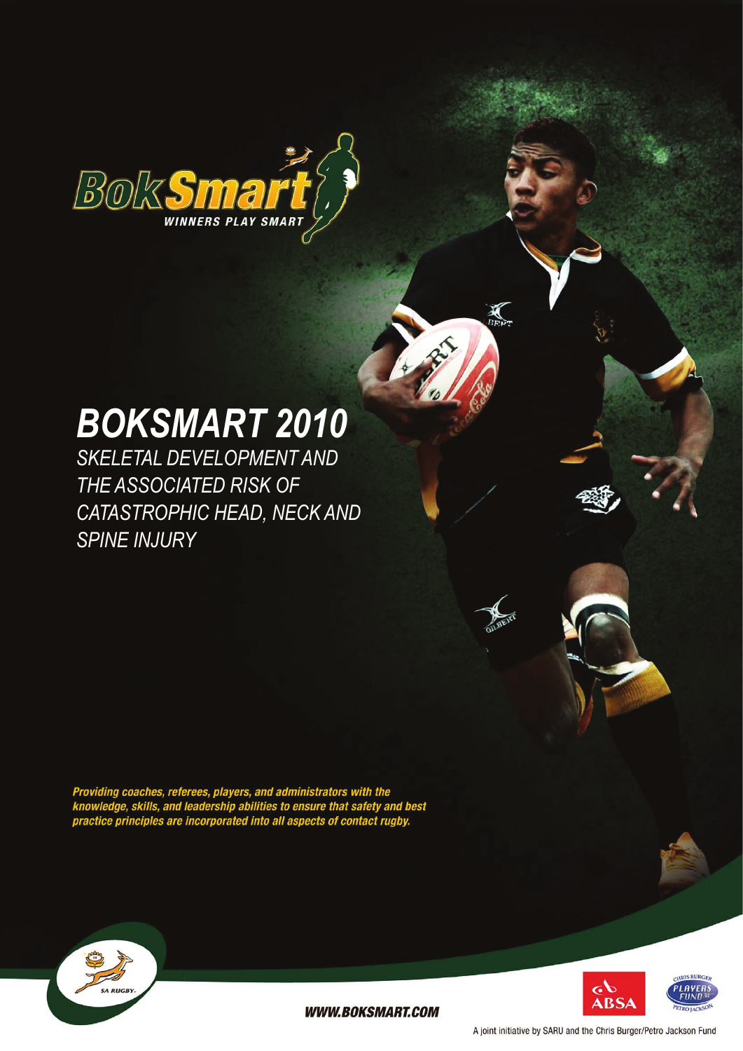

# *BokSmart 2010*

*skeletal development and the associated risk of catastrophic head, neck and spine injury*

Providing coaches, referees, players, and administrators with the<br>knowledge, skills, and leadership abilities to ensure that safety and best<br>practice principles are incorporated into all aspects of contact rugby.





**WWW.BOKSMART.COM** 

A joint initiative by SARU and the Chris Burger/Petro Jackson Fund

 $\sum_{B \to P}$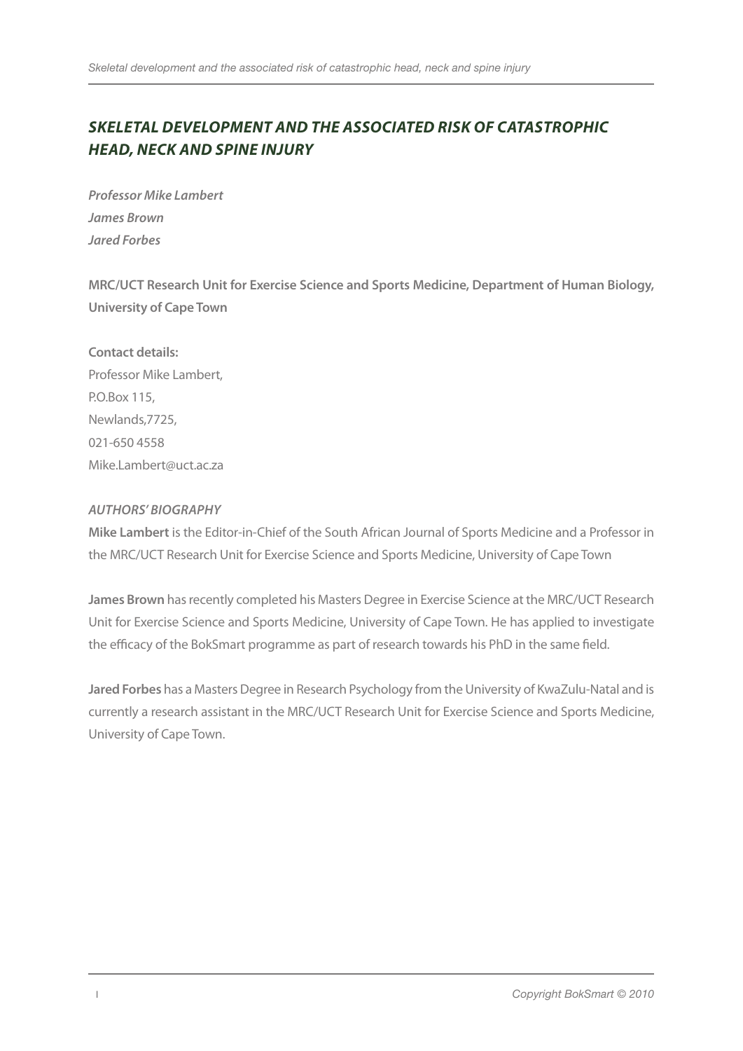# *Skeletal development and the associated risk of catastrophic head, neck and spine injury*

*Professor Mike Lambert James Brown Jared Forbes* 

**MRC/UCT Research Unit for Exercise Science and Sports Medicine, Department of Human Biology, University of Cape Town**

**Contact details:**  Professor Mike Lambert, P.O.Box 115, Newlands,7725, 021-650 4558 Mike.Lambert@uct.ac.za

#### *Authors' Biography*

**Mike Lambert** is the Editor-in-Chief of the South African Journal of Sports Medicine and a Professor in the MRC/UCT Research Unit for Exercise Science and Sports Medicine, University of Cape Town

**James Brown** has recently completed his Masters Degree in Exercise Science at the MRC/UCT Research Unit for Exercise Science and Sports Medicine, University of Cape Town. He has applied to investigate the efficacy of the BokSmart programme as part of research towards his PhD in the same field.

**Jared Forbes** has a Masters Degree in Research Psychology from the University of KwaZulu-Natal and is currently a research assistant in the MRC/UCT Research Unit for Exercise Science and Sports Medicine, University of Cape Town.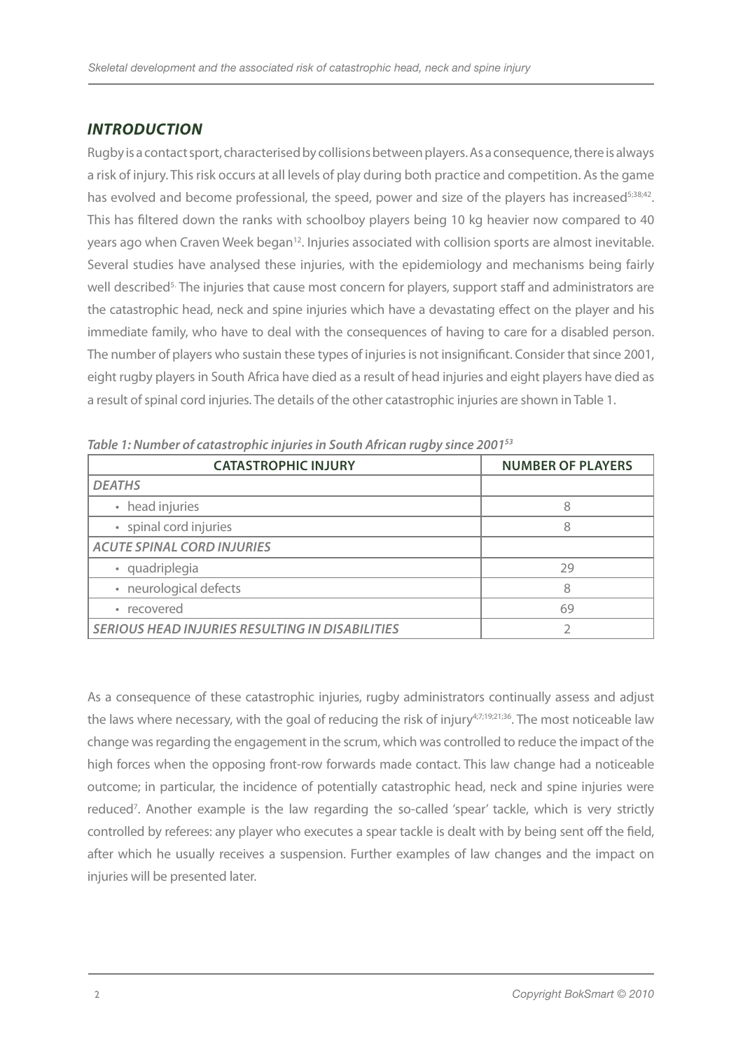# *INTRODUCTION*

Rugby is a contact sport, characterised by collisions between players. As a consequence, there is always a risk of injury. This risk occurs at all levels of play during both practice and competition. As the game has evolved and become professional, the speed, power and size of the players has increased<sup>5;38;42</sup>. This has filtered down the ranks with schoolboy players being 10 kg heavier now compared to 40 years ago when Craven Week began<sup>12</sup>. Injuries associated with collision sports are almost inevitable. Several studies have analysed these injuries, with the epidemiology and mechanisms being fairly well described<sup>5.</sup> The injuries that cause most concern for players, support staff and administrators are the catastrophic head, neck and spine injuries which have a devastating effect on the player and his immediate family, who have to deal with the consequences of having to care for a disabled person. The number of players who sustain these types of injuries is not insignificant. Consider that since 2001, eight rugby players in South Africa have died as a result of head injuries and eight players have died as a result of spinal cord injuries. The details of the other catastrophic injuries are shown in Table 1.

| <b>CATASTROPHIC INJURY</b>                             | <b>NUMBER OF PLAYERS</b> |
|--------------------------------------------------------|--------------------------|
| <b>DEATHS</b>                                          |                          |
| • head injuries                                        | я                        |
| · spinal cord injuries                                 |                          |
| <b>ACUTE SPINAL CORD INJURIES</b>                      |                          |
| · quadriplegia                                         | 29                       |
| · neurological defects                                 | χ                        |
| • recovered                                            | 69                       |
| <b>SERIOUS HEAD INJURIES RESULTING IN DISABILITIES</b> |                          |

*Table 1: Number of catastrophic injuries in South African rugby since 200153* 

As a consequence of these catastrophic injuries, rugby administrators continually assess and adjust the laws where necessary, with the goal of reducing the risk of injury<sup>4;7;19;21;36</sup>. The most noticeable law change was regarding the engagement in the scrum, which was controlled to reduce the impact of the high forces when the opposing front-row forwards made contact. This law change had a noticeable outcome; in particular, the incidence of potentially catastrophic head, neck and spine injuries were reduced<sup>7</sup>. Another example is the law regarding the so-called 'spear' tackle, which is very strictly controlled by referees: any player who executes a spear tackle is dealt with by being sent off the field, after which he usually receives a suspension. Further examples of law changes and the impact on injuries will be presented later.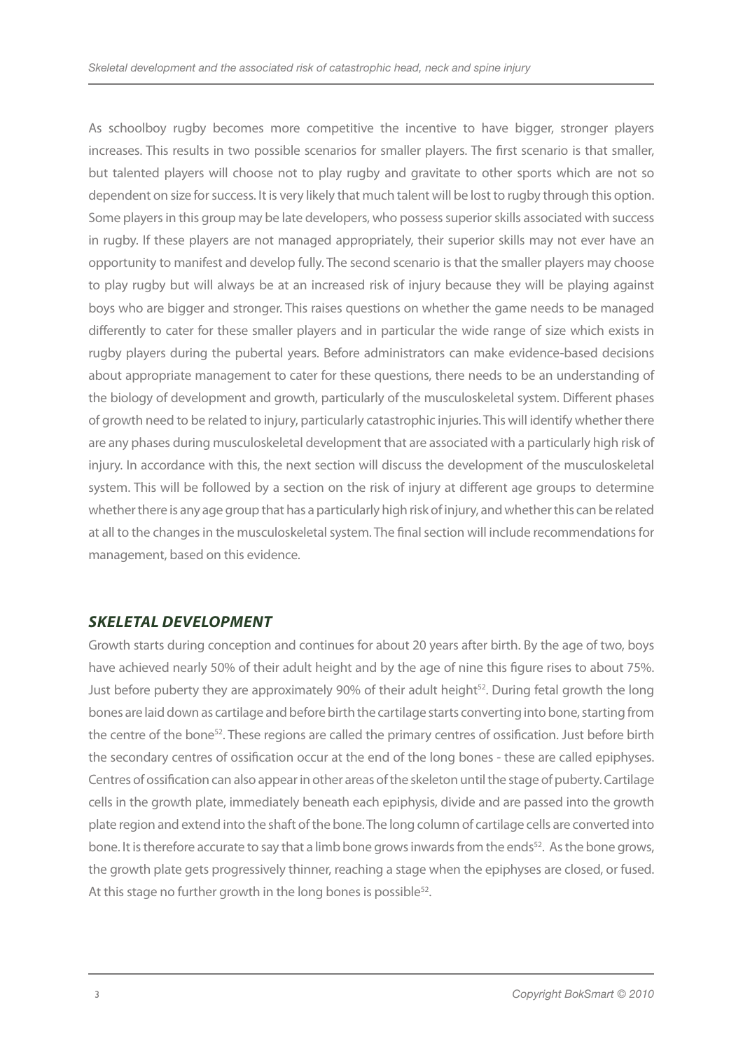As schoolboy rugby becomes more competitive the incentive to have bigger, stronger players increases. This results in two possible scenarios for smaller players. The first scenario is that smaller, but talented players will choose not to play rugby and gravitate to other sports which are not so dependent on size for success. It is very likely that much talent will be lost to rugby through this option. Some players in this group may be late developers, who possess superior skills associated with success in rugby. If these players are not managed appropriately, their superior skills may not ever have an opportunity to manifest and develop fully. The second scenario is that the smaller players may choose to play rugby but will always be at an increased risk of injury because they will be playing against boys who are bigger and stronger. This raises questions on whether the game needs to be managed differently to cater for these smaller players and in particular the wide range of size which exists in rugby players during the pubertal years. Before administrators can make evidence-based decisions about appropriate management to cater for these questions, there needs to be an understanding of the biology of development and growth, particularly of the musculoskeletal system. Different phases of growth need to be related to injury, particularly catastrophic injuries. This will identify whether there are any phases during musculoskeletal development that are associated with a particularly high risk of injury. In accordance with this, the next section will discuss the development of the musculoskeletal system. This will be followed by a section on the risk of injury at different age groups to determine whether there is any age group that has a particularly high risk of injury, and whether this can be related at all to the changes in the musculoskeletal system. The final section will include recommendations for management, based on this evidence.

#### *SKELETAL DEVELOPMENT*

Growth starts during conception and continues for about 20 years after birth. By the age of two, boys have achieved nearly 50% of their adult height and by the age of nine this figure rises to about 75%. Just before puberty they are approximately 90% of their adult height<sup>52</sup>. During fetal growth the long bones are laid down as cartilage and before birth the cartilage starts converting into bone, starting from the centre of the bone52. These regions are called the primary centres of ossification. Just before birth the secondary centres of ossification occur at the end of the long bones - these are called epiphyses. Centres of ossification can also appear in other areas of the skeleton until the stage of puberty. Cartilage cells in the growth plate, immediately beneath each epiphysis, divide and are passed into the growth plate region and extend into the shaft of the bone. The long column of cartilage cells are converted into bone. It is therefore accurate to say that a limb bone grows inwards from the ends<sup>52</sup>. As the bone grows, the growth plate gets progressively thinner, reaching a stage when the epiphyses are closed, or fused. At this stage no further growth in the long bones is possible<sup>52</sup>.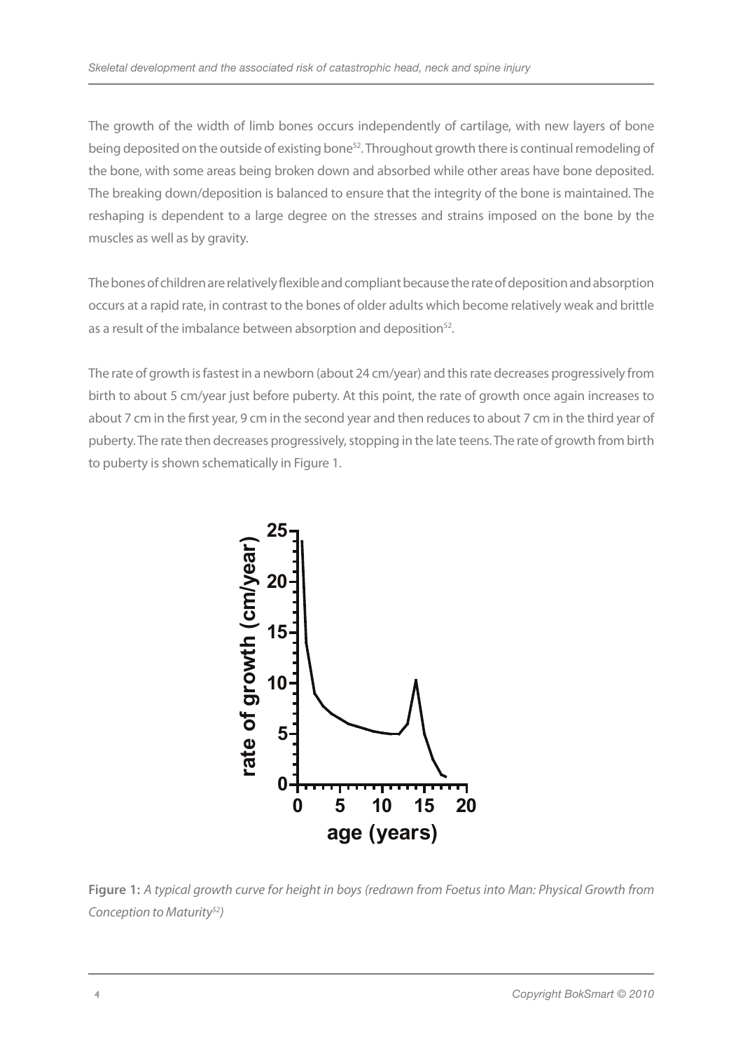The growth of the width of limb bones occurs independently of cartilage, with new layers of bone being deposited on the outside of existing bone<sup>52</sup>. Throughout growth there is continual remodeling of the bone, with some areas being broken down and absorbed while other areas have bone deposited. The breaking down/deposition is balanced to ensure that the integrity of the bone is maintained. The reshaping is dependent to a large degree on the stresses and strains imposed on the bone by the muscles as well as by gravity.

The bones of children are relatively flexible and compliant because the rate of deposition and absorption occurs at a rapid rate, in contrast to the bones of older adults which become relatively weak and brittle as a result of the imbalance between absorption and deposition<sup>52</sup>.

The rate of growth is fastest in a newborn (about 24 cm/year) and this rate decreases progressively from birth to about 5 cm/year just before puberty. At this point, the rate of growth once again increases to about 7 cm in the first year, 9 cm in the second year and then reduces to about 7 cm in the third year of puberty. The rate then decreases progressively, stopping in the late teens. The rate of growth from birth to puberty is shown schematically in Figure 1.



**Figure 1:** *A typical growth curve for height in boys (redrawn from Foetus into Man: Physical Growth from Conception to Maturity52)*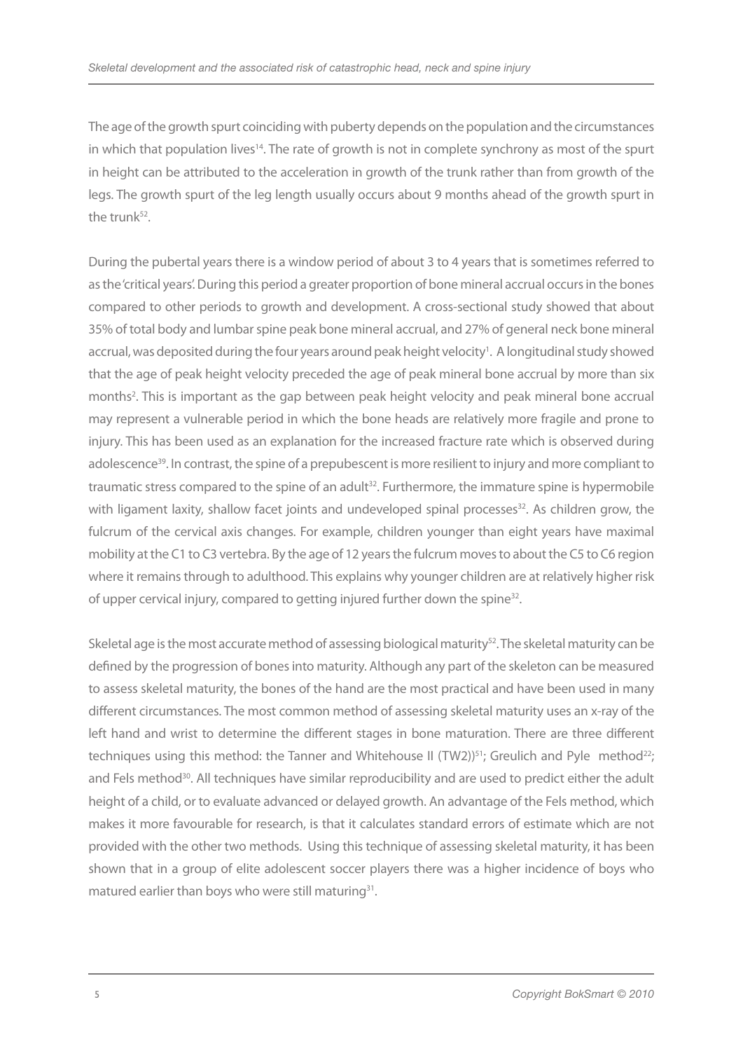The age of the growth spurt coinciding with puberty depends on the population and the circumstances in which that population lives14. The rate of growth is not in complete synchrony as most of the spurt in height can be attributed to the acceleration in growth of the trunk rather than from growth of the legs. The growth spurt of the leg length usually occurs about 9 months ahead of the growth spurt in the trunk<sup>52</sup>.

During the pubertal years there is a window period of about 3 to 4 years that is sometimes referred to as the 'critical years'. During this period a greater proportion of bone mineral accrual occurs in the bones compared to other periods to growth and development. A cross-sectional study showed that about 35% of total body and lumbar spine peak bone mineral accrual, and 27% of general neck bone mineral accrual, was deposited during the four years around peak height velocity<sup>1</sup>. A longitudinal study showed that the age of peak height velocity preceded the age of peak mineral bone accrual by more than six months<sup>2</sup>. This is important as the gap between peak height velocity and peak mineral bone accrual may represent a vulnerable period in which the bone heads are relatively more fragile and prone to injury. This has been used as an explanation for the increased fracture rate which is observed during adolescence<sup>39</sup>. In contrast, the spine of a prepubescent is more resilient to injury and more compliant to traumatic stress compared to the spine of an adult<sup>32</sup>. Furthermore, the immature spine is hypermobile with ligament laxity, shallow facet joints and undeveloped spinal processes<sup>32</sup>. As children grow, the fulcrum of the cervical axis changes. For example, children younger than eight years have maximal mobility at the C1 to C3 vertebra. By the age of 12 years the fulcrum moves to about the C5 to C6 region where it remains through to adulthood. This explains why younger children are at relatively higher risk of upper cervical injury, compared to getting injured further down the spine<sup>32</sup>.

Skeletal age is the most accurate method of assessing biological maturity<sup>52</sup>. The skeletal maturity can be defined by the progression of bones into maturity. Although any part of the skeleton can be measured to assess skeletal maturity, the bones of the hand are the most practical and have been used in many different circumstances. The most common method of assessing skeletal maturity uses an x-ray of the left hand and wrist to determine the different stages in bone maturation. There are three different techniques using this method: the Tanner and Whitehouse II (TW2))<sup>51</sup>; Greulich and Pyle method<sup>22</sup>; and Fels method<sup>30</sup>. All techniques have similar reproducibility and are used to predict either the adult height of a child, or to evaluate advanced or delayed growth. An advantage of the Fels method, which makes it more favourable for research, is that it calculates standard errors of estimate which are not provided with the other two methods. Using this technique of assessing skeletal maturity, it has been shown that in a group of elite adolescent soccer players there was a higher incidence of boys who matured earlier than boys who were still maturing<sup>31</sup>.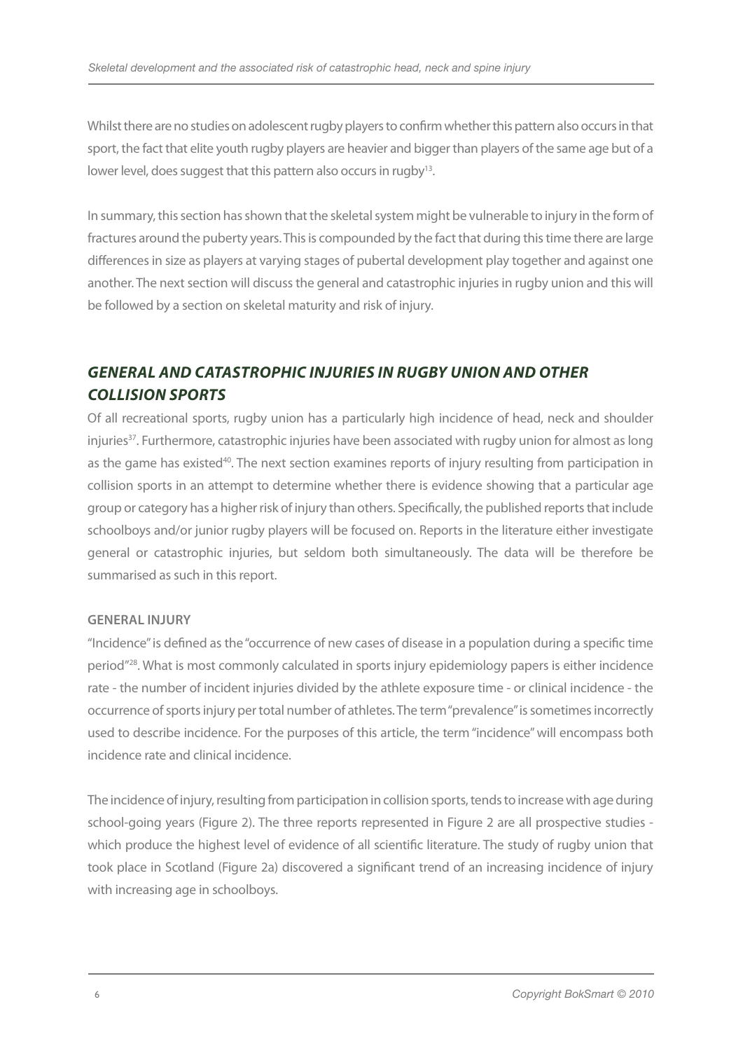Whilst there are no studies on adolescent rugby players to confirm whether this pattern also occurs in that sport, the fact that elite youth rugby players are heavier and bigger than players of the same age but of a lower level, does suggest that this pattern also occurs in rugby<sup>13</sup>.

In summary, this section has shown that the skeletal system might be vulnerable to injury in the form of fractures around the puberty years. This is compounded by the fact that during this time there are large differences in size as players at varying stages of pubertal development play together and against one another. The next section will discuss the general and catastrophic injuries in rugby union and this will be followed by a section on skeletal maturity and risk of injury.

# *GENERAL AND CATASTROPHIC INJURIES IN RUGBY UNION AND OTHER COLLISION SPORTS*

Of all recreational sports, rugby union has a particularly high incidence of head, neck and shoulder injuries<sup>37</sup>. Furthermore, catastrophic injuries have been associated with rugby union for almost as long as the game has existed<sup>40</sup>. The next section examines reports of injury resulting from participation in collision sports in an attempt to determine whether there is evidence showing that a particular age group or category has a higher risk of injury than others. Specifically, the published reports that include schoolboys and/or junior rugby players will be focused on. Reports in the literature either investigate general or catastrophic injuries, but seldom both simultaneously. The data will be therefore be summarised as such in this report.

#### **General Injury**

"Incidence" is defined as the "occurrence of new cases of disease in a population during a specific time period"28. What is most commonly calculated in sports injury epidemiology papers is either incidence rate - the number of incident injuries divided by the athlete exposure time - or clinical incidence - the occurrence of sports injury per total number of athletes. The term "prevalence" is sometimes incorrectly used to describe incidence. For the purposes of this article, the term "incidence" will encompass both incidence rate and clinical incidence.

The incidence of injury, resulting from participation in collision sports, tends to increase with age during school-going years (Figure 2). The three reports represented in Figure 2 are all prospective studies which produce the highest level of evidence of all scientific literature. The study of rugby union that took place in Scotland (Figure 2a) discovered a significant trend of an increasing incidence of injury with increasing age in schoolboys.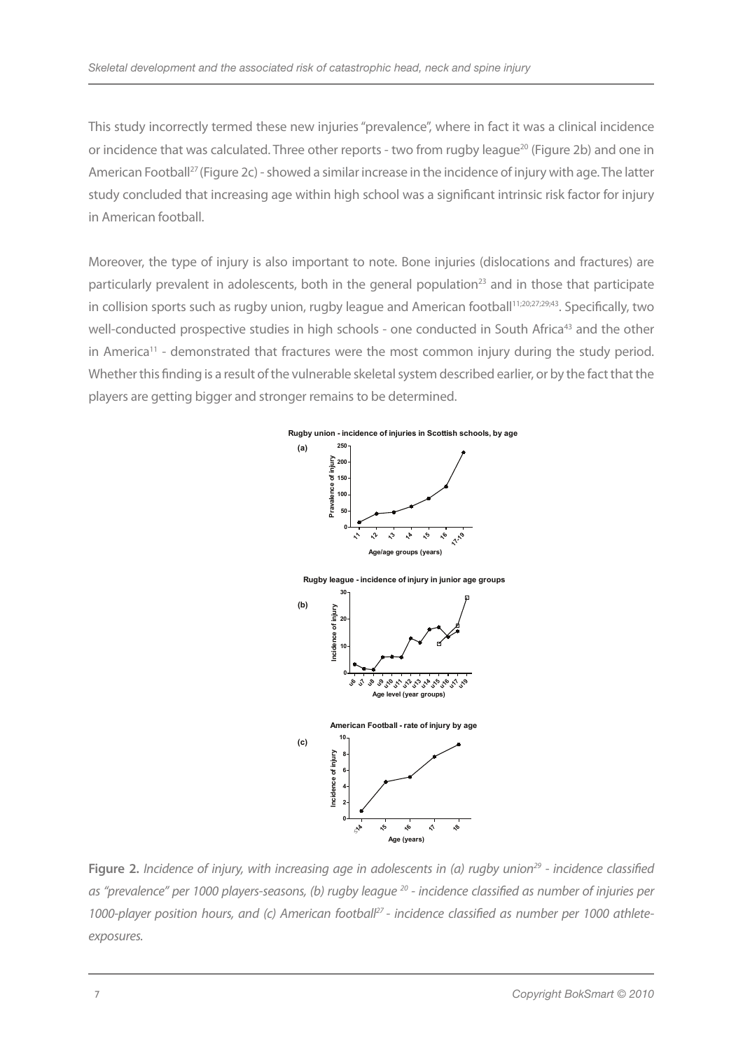This study incorrectly termed these new injuries "prevalence", where in fact it was a clinical incidence or incidence that was calculated. Three other reports - two from rugby league<sup>20</sup> (Figure 2b) and one in American Football<sup>27</sup> (Figure 2c) - showed a similar increase in the incidence of injury with age. The latter study concluded that increasing age within high school was a significant intrinsic risk factor for injury in American football.

Moreover, the type of injury is also important to note. Bone injuries (dislocations and fractures) are particularly prevalent in adolescents, both in the general population<sup>23</sup> and in those that participate in collision sports such as rugby union, rugby league and American football<sup>11;20;27;29;43</sup>. Specifically, two well-conducted prospective studies in high schools - one conducted in South Africa<sup>43</sup> and the other in America<sup>11</sup> - demonstrated that fractures were the most common injury during the study period. Whether this finding is a result of the vulnerable skeletal system described earlier, or by the fact that the players are getting bigger and stronger remains to be determined.



**Figure 2.** *Incidence of injury, with increasing age in adolescents in (a) rugby union<sup>29</sup> - incidence classified as "prevalence" per 1000 players-seasons, (b) rugby league 20 - incidence classified as number of injuries per*  1000-player position hours, and (c) American footbal<sup>p7</sup> - incidence classified as number per 1000 athlete*exposures.*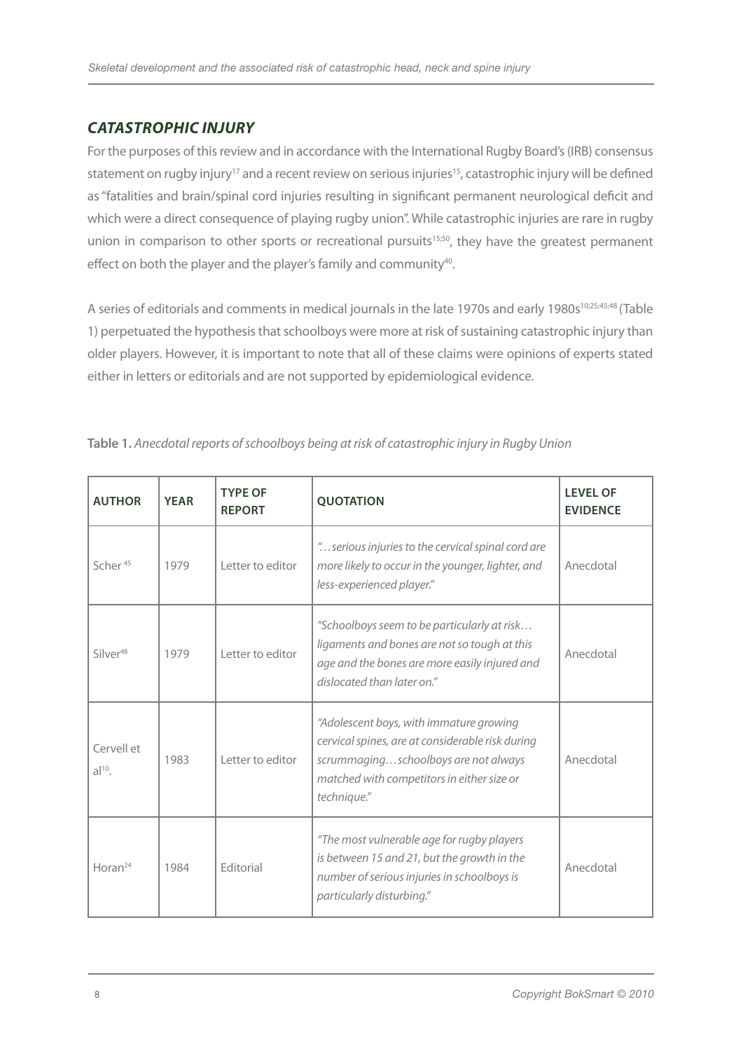# *Catastrophic injury*

For the purposes of this review and in accordance with the International Rugby Board's (IRB) consensus statement on rugby injury<sup>17</sup> and a recent review on serious injuries<sup>15</sup>, catastrophic injury will be defined as "fatalities and brain/spinal cord injuries resulting in significant permanent neurological deficit and which were a direct consequence of playing rugby union". While catastrophic injuries are rare in rugby union in comparison to other sports or recreational pursuits<sup>15;50</sup>, they have the greatest permanent effect on both the player and the player's family and community<sup>40</sup>.

A series of editorials and comments in medical journals in the late 1970s and early 1980s<sup>10;25;45;48</sup> (Table 1) perpetuated the hypothesis that schoolboys were more at risk of sustaining catastrophic injury than older players. However, it is important to note that all of these claims were opinions of experts stated either in letters or editorials and are not supported by epidemiological evidence.

| <b>AUTHOR</b>          | <b>YEAR</b> | <b>TYPE OF</b><br><b>REPORT</b> | <b>QUOTATION</b>                                                                                                                                                                                 | <b>LEVEL OF</b><br><b>EVIDENCE</b> |
|------------------------|-------------|---------------------------------|--------------------------------------------------------------------------------------------------------------------------------------------------------------------------------------------------|------------------------------------|
| Scher <sup>45</sup>    | 1979        | Letter to editor                | " serious injuries to the cervical spinal cord are<br>more likely to occur in the younger, lighter, and<br>less-experienced player."                                                             | Anecdotal                          |
| $Silver^{48}$          | 1979        | I etter to editor               | "Schoolboys seem to be particularly at risk<br>ligaments and bones are not so tough at this<br>age and the bones are more easily injured and<br>dislocated than later on."                       | Anecdotal                          |
| Cervell et<br>$al10$ . | 1983        | I etter to editor               | "Adolescent boys, with immature growing<br>cervical spines, are at considerable risk during<br>scrummagingschoolboys are not always<br>matched with competitors in either size or<br>technique." | Anecdotal                          |
| Horan <sup>24</sup>    | 1984        | <b>Fditorial</b>                | "The most vulnerable age for rugby players<br>is between 15 and 21, but the growth in the<br>number of serious injuries in schoolboys is<br>particularly disturbing."                            | Anecdotal                          |

**Table 1.** *Anecdotal reports of schoolboys being at risk of catastrophic injury in Rugby Union*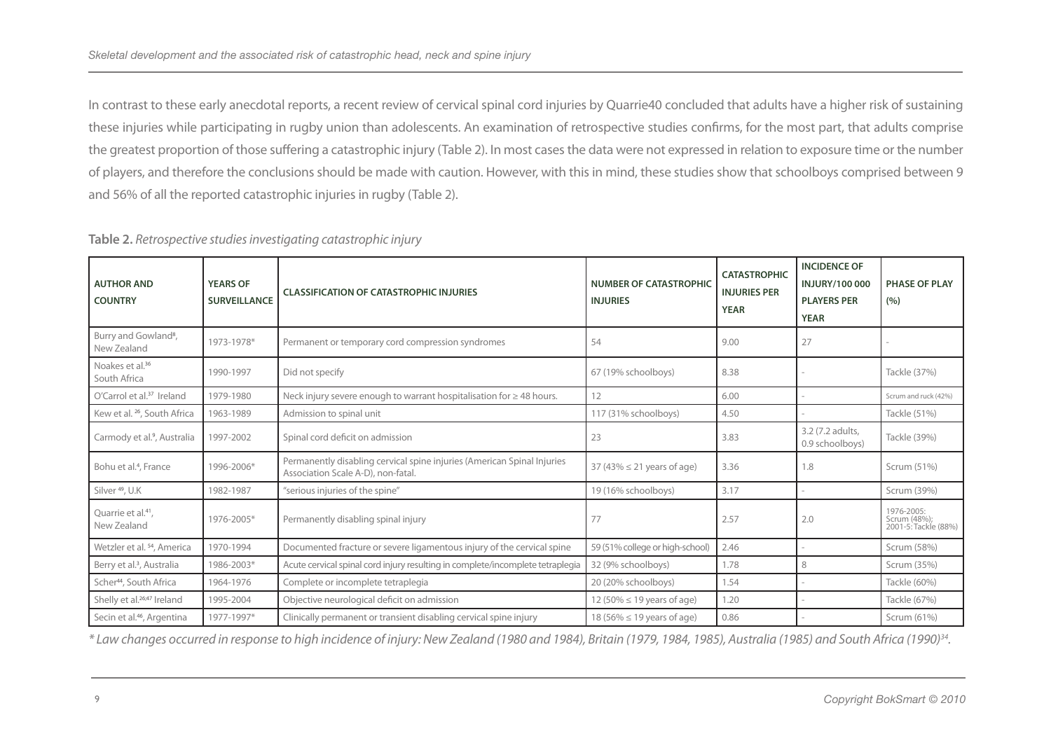In contrast to these early anecdotal reports, a recent review of cervical spinal cord injuries by Quarrie40 concluded that adults have a higher risk of sustaining these injuries while participating in rugby union than adolescents. An examination of retrospective studies confirms, for the most part, that adults comprise the greatest proportion of those suffering a catastrophic injury (Table 2). In most cases the data were not expressed in relation to exposure time or the number of players, and therefore the conclusions should be made with caution. However, with this in mind, these studies show that schoolboys comprised between 9 and 56% of all the reported catastrophic injuries in rugby (Table 2).

| <b>YEARS OF</b><br><b>SURVEILLANCE</b> | <b>CLASSIFICATION OF CATASTROPHIC INJURIES</b>                                                                | <b>NUMBER OF CATASTROPHIC</b><br><b>INJURIES</b> | <b>CATASTROPHIC</b><br><b>INJURIES PER</b><br><b>YEAR</b> | <b>INCIDENCE OF</b><br><b>INJURY/100 000</b><br><b>PLAYERS PER</b><br><b>YEAR</b> | <b>PHASE OF PLAY</b><br>(9/6)                      |
|----------------------------------------|---------------------------------------------------------------------------------------------------------------|--------------------------------------------------|-----------------------------------------------------------|-----------------------------------------------------------------------------------|----------------------------------------------------|
| 1973-1978*                             | Permanent or temporary cord compression syndromes                                                             | 54                                               | 9.00                                                      | 27                                                                                |                                                    |
| 1990-1997                              | Did not specify                                                                                               | 67 (19% schoolboys)                              | 8.38                                                      |                                                                                   | Tackle (37%)                                       |
| 1979-1980                              | Neck injury severe enough to warrant hospitalisation for $\geq 48$ hours.                                     | 12                                               | 6.00                                                      |                                                                                   | Scrum and ruck (42%)                               |
| 1963-1989                              | Admission to spinal unit                                                                                      | 117 (31% schoolboys)                             | 4.50                                                      |                                                                                   | Tackle (51%)                                       |
| 1997-2002                              | Spinal cord deficit on admission                                                                              | 23                                               | 3.83                                                      | 3.2 (7.2 adults,<br>0.9 schoolboys)                                               | Tackle (39%)                                       |
| 1996-2006*                             | Permanently disabling cervical spine injuries (American Spinal Injuries<br>Association Scale A-D), non-fatal. | 37 (43% $\leq$ 21 years of age)                  | 3.36                                                      | 1.8                                                                               | Scrum (51%)                                        |
| 1982-1987                              | "serious injuries of the spine"                                                                               | 19 (16% schoolboys)                              | 3.17                                                      |                                                                                   | Scrum (39%)                                        |
| 1976-2005*                             | Permanently disabling spinal injury                                                                           | 77                                               | 2.57                                                      | 2.0                                                                               | 1976-2005:<br>Scrum (48%);<br>2001-5: Tackle (88%) |
| 1970-1994                              | Documented fracture or severe ligamentous injury of the cervical spine                                        | 59 (51% college or high-school)                  | 2.46                                                      |                                                                                   | Scrum (58%)                                        |
| 1986-2003*                             | Acute cervical spinal cord injury resulting in complete/incomplete tetraplegia                                | 32 (9% schoolboys)                               | 1.78                                                      | 8                                                                                 | Scrum (35%)                                        |
| 1964-1976                              | Complete or incomplete tetraplegia                                                                            | 20 (20% schoolboys)                              | 1.54                                                      |                                                                                   | Tackle (60%)                                       |
| 1995-2004                              | Objective neurological deficit on admission                                                                   | 12 (50% $\leq$ 19 years of age)                  | 1.20                                                      |                                                                                   | Tackle (67%)                                       |
| 1977-1997*                             | Clinically permanent or transient disabling cervical spine injury                                             | 18 (56% $\leq$ 19 years of age)                  | 0.86                                                      |                                                                                   | Scrum (61%)                                        |
|                                        |                                                                                                               |                                                  |                                                           |                                                                                   |                                                    |

**Table 2.** *Retrospective studies investigating catastrophic injury*

*\* Law changes occurred in response to high incidence of injury: New Zealand (1980 and 1984), Britain (1979, 1984, 1985), Australia (1985) and South Africa (1990)34.*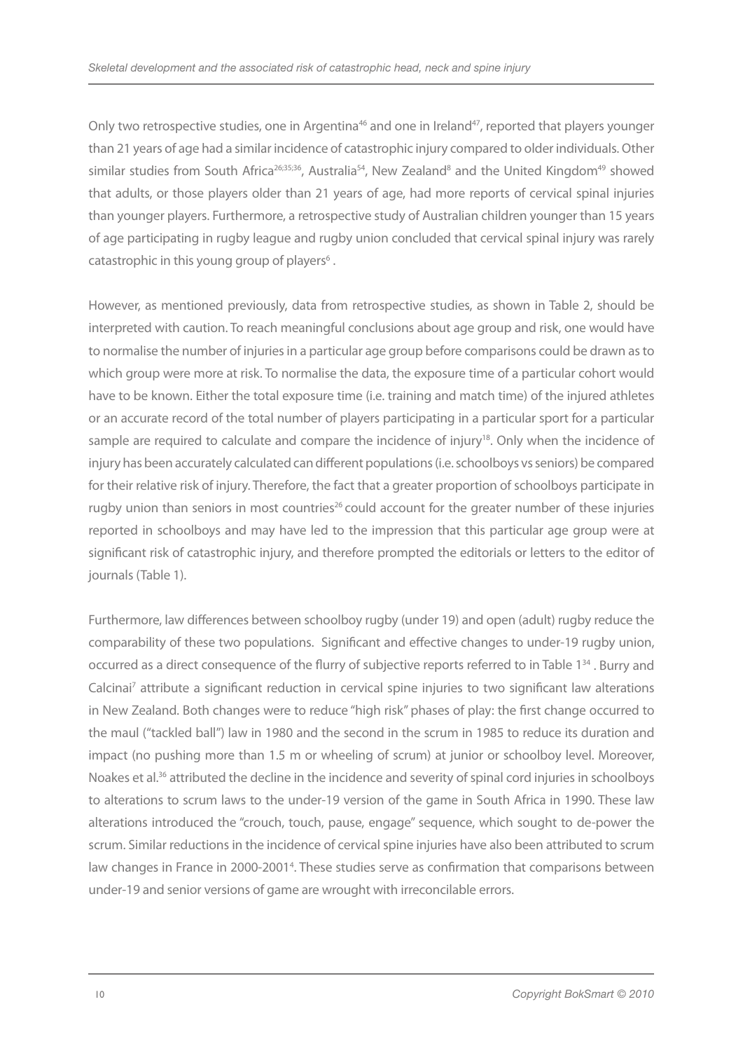Only two retrospective studies, one in Argentina<sup>46</sup> and one in Ireland<sup>47</sup>, reported that players younger than 21 years of age had a similar incidence of catastrophic injury compared to older individuals. Other similar studies from South Africa<sup>26;35;36</sup>, Australia<sup>54</sup>, New Zealand<sup>8</sup> and the United Kingdom<sup>49</sup> showed that adults, or those players older than 21 years of age, had more reports of cervical spinal injuries than younger players. Furthermore, a retrospective study of Australian children younger than 15 years of age participating in rugby league and rugby union concluded that cervical spinal injury was rarely catastrophic in this young group of players<sup>6</sup>.

However, as mentioned previously, data from retrospective studies, as shown in Table 2, should be interpreted with caution. To reach meaningful conclusions about age group and risk, one would have to normalise the number of injuries in a particular age group before comparisons could be drawn as to which group were more at risk. To normalise the data, the exposure time of a particular cohort would have to be known. Either the total exposure time (i.e. training and match time) of the injured athletes or an accurate record of the total number of players participating in a particular sport for a particular sample are required to calculate and compare the incidence of injury<sup>18</sup>. Only when the incidence of injury has been accurately calculated can different populations (i.e. schoolboys vs seniors) be compared for their relative risk of injury. Therefore, the fact that a greater proportion of schoolboys participate in rugby union than seniors in most countries<sup>26</sup> could account for the greater number of these injuries reported in schoolboys and may have led to the impression that this particular age group were at significant risk of catastrophic injury, and therefore prompted the editorials or letters to the editor of journals (Table 1).

Furthermore, law differences between schoolboy rugby (under 19) and open (adult) rugby reduce the comparability of these two populations. Significant and effective changes to under-19 rugby union, occurred as a direct consequence of the flurry of subjective reports referred to in Table 1<sup>34</sup>. Burry and Calcinai<sup>7</sup> attribute a significant reduction in cervical spine injuries to two significant law alterations in New Zealand. Both changes were to reduce "high risk" phases of play: the first change occurred to the maul ("tackled ball") law in 1980 and the second in the scrum in 1985 to reduce its duration and impact (no pushing more than 1.5 m or wheeling of scrum) at junior or schoolboy level. Moreover, Noakes et al.<sup>36</sup> attributed the decline in the incidence and severity of spinal cord injuries in schoolboys to alterations to scrum laws to the under-19 version of the game in South Africa in 1990. These law alterations introduced the "crouch, touch, pause, engage" sequence, which sought to de-power the scrum. Similar reductions in the incidence of cervical spine injuries have also been attributed to scrum law changes in France in 2000-2001<sup>4</sup>. These studies serve as confirmation that comparisons between under-19 and senior versions of game are wrought with irreconcilable errors.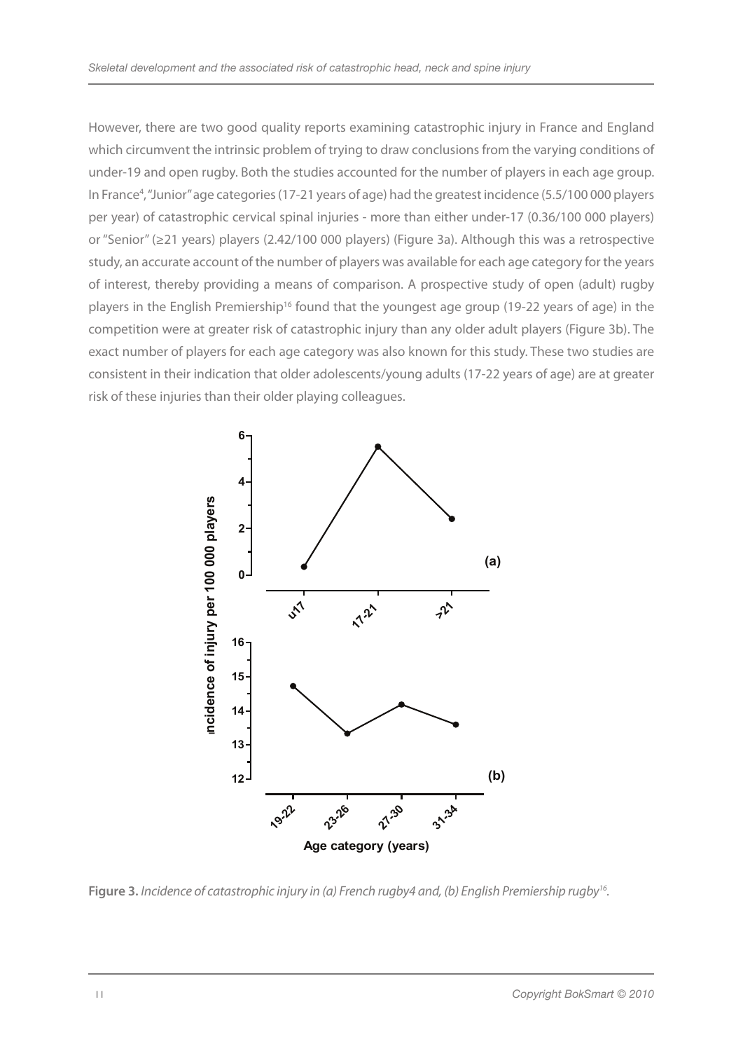However, there are two good quality reports examining catastrophic injury in France and England which circumvent the intrinsic problem of trying to draw conclusions from the varying conditions of under-19 and open rugby. Both the studies accounted for the number of players in each age group. In France<sup>4</sup>, "Junior" age categories (17-21 years of age) had the greatest incidence (5.5/100 000 players per year) of catastrophic cervical spinal injuries - more than either under-17 (0.36/100 000 players) or "Senior" (≥21 years) players (2.42/100 000 players) (Figure 3a). Although this was a retrospective study, an accurate account of the number of players was available for each age category for the years of interest, thereby providing a means of comparison. A prospective study of open (adult) rugby players in the English Premiership<sup>16</sup> found that the youngest age group (19-22 years of age) in the competition were at greater risk of catastrophic injury than any older adult players (Figure 3b). The exact number of players for each age category was also known for this study. These two studies are consistent in their indication that older adolescents/young adults (17-22 years of age) are at greater risk of these injuries than their older playing colleagues.



**Figure 3.** *Incidence of catastrophic injury in (a) French rugby4 and, (b) English Premiership rugby16.*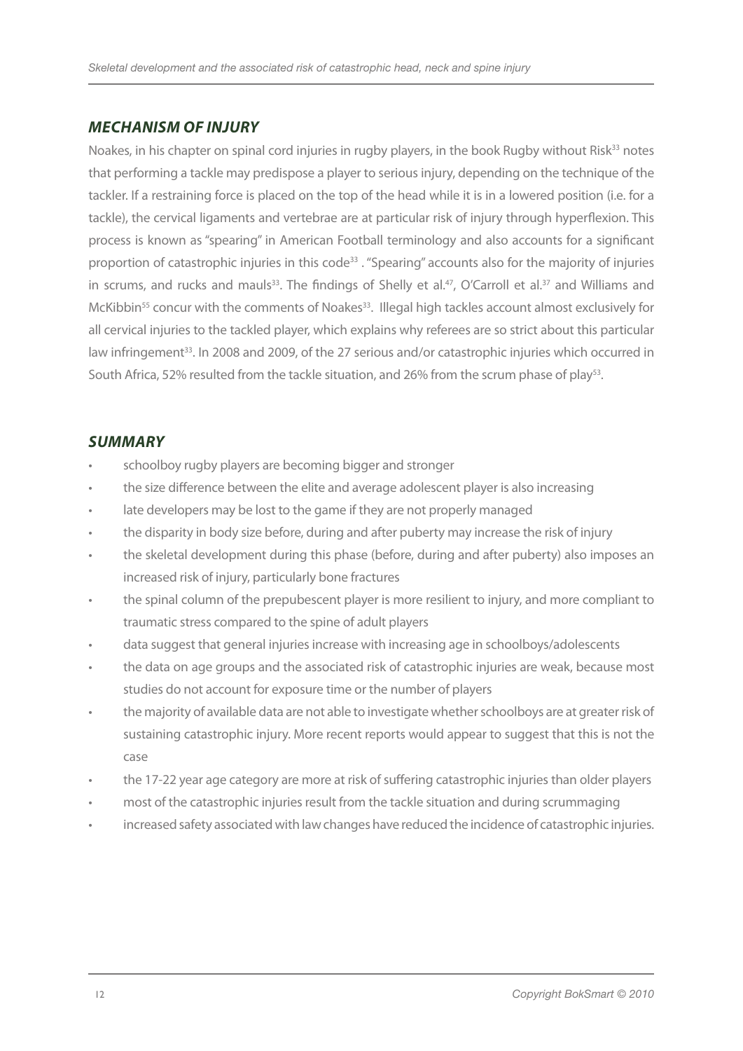## *Mechanism of injury*

Noakes, in his chapter on spinal cord injuries in rugby players, in the book Rugby without Risk<sup>33</sup> notes that performing a tackle may predispose a player to serious injury, depending on the technique of the tackler. If a restraining force is placed on the top of the head while it is in a lowered position (i.e. for a tackle), the cervical ligaments and vertebrae are at particular risk of injury through hyperflexion. This process is known as "spearing" in American Football terminology and also accounts for a significant proportion of catastrophic injuries in this code<sup>33</sup>. "Spearing" accounts also for the majority of injuries in scrums, and rucks and mauls<sup>33</sup>. The findings of Shelly et al.<sup>47</sup>, O'Carroll et al.<sup>37</sup> and Williams and McKibbin<sup>55</sup> concur with the comments of Noakes<sup>33</sup>. Illegal high tackles account almost exclusively for all cervical injuries to the tackled player, which explains why referees are so strict about this particular law infringement<sup>33</sup>. In 2008 and 2009, of the 27 serious and/or catastrophic injuries which occurred in South Africa, 52% resulted from the tackle situation, and 26% from the scrum phase of play<sup>53</sup>.

## *SUMMARY*

- schoolboy rugby players are becoming bigger and stronger
- the size difference between the elite and average adolescent player is also increasing
- late developers may be lost to the game if they are not properly managed
- the disparity in body size before, during and after puberty may increase the risk of injury
- the skeletal development during this phase (before, during and after puberty) also imposes an increased risk of injury, particularly bone fractures
- the spinal column of the prepubescent player is more resilient to injury, and more compliant to traumatic stress compared to the spine of adult players
- data suggest that general injuries increase with increasing age in schoolboys/adolescents
- the data on age groups and the associated risk of catastrophic injuries are weak, because most studies do not account for exposure time or the number of players
- the majority of available data are not able to investigate whether schoolboys are at greater risk of sustaining catastrophic injury. More recent reports would appear to suggest that this is not the case
- the 17-22 year age category are more at risk of suffering catastrophic injuries than older players
- most of the catastrophic injuries result from the tackle situation and during scrummaging
- increased safety associated with law changes have reduced the incidence of catastrophic injuries.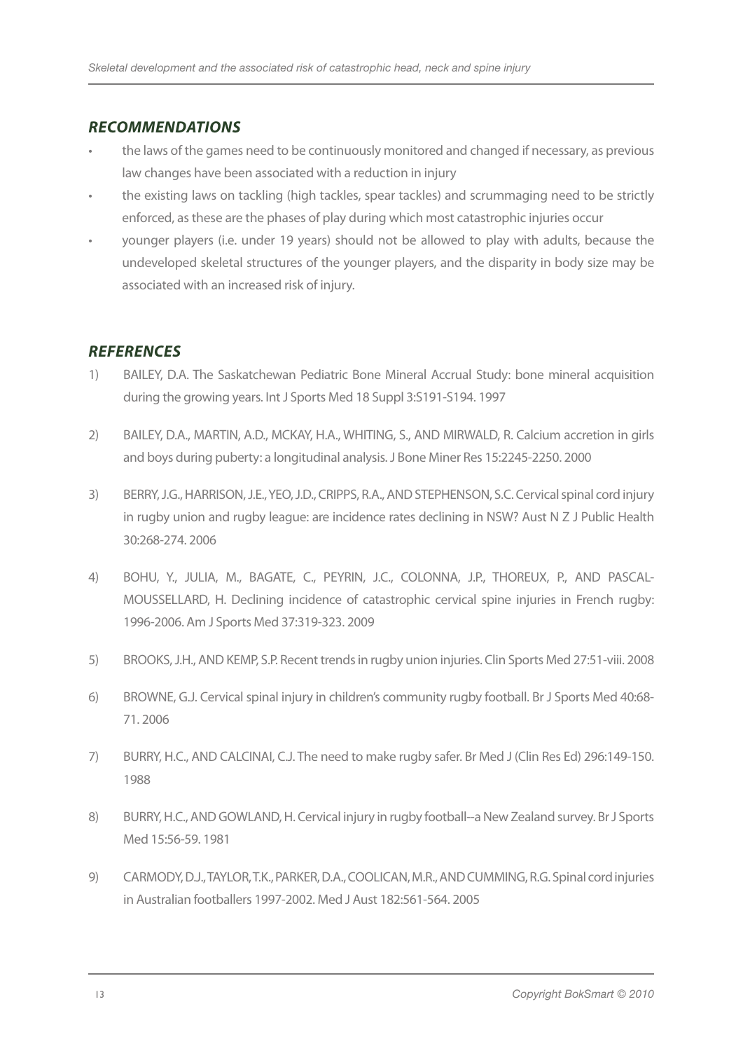## *RECOMMENDATIONS*

- the laws of the games need to be continuously monitored and changed if necessary, as previous law changes have been associated with a reduction in injury
- the existing laws on tackling (high tackles, spear tackles) and scrummaging need to be strictly enforced, as these are the phases of play during which most catastrophic injuries occur
- younger players (i.e. under 19 years) should not be allowed to play with adults, because the undeveloped skeletal structures of the younger players, and the disparity in body size may be associated with an increased risk of injury.

# *References*

- 1) BAILEY, D.A. The Saskatchewan Pediatric Bone Mineral Accrual Study: bone mineral acquisition during the growing years. Int J Sports Med 18 Suppl 3:S191-S194. 1997
- 2) BAILEY, D.A., MARTIN, A.D., MCKAY, H.A., WHITING, S., AND MIRWALD, R. Calcium accretion in girls and boys during puberty: a longitudinal analysis. J Bone Miner Res 15:2245-2250. 2000
- 3) BERRY, J.G., HARRISON, J.E., YEO, J.D., CRIPPS, R.A., AND STEPHENSON, S.C. Cervical spinal cord injury in rugby union and rugby league: are incidence rates declining in NSW? Aust N Z J Public Health 30:268-274. 2006
- 4) BOHU, Y., JULIA, M., BAGATE, C., PEYRIN, J.C., COLONNA, J.P., THOREUX, P., AND PASCAL-MOUSSELLARD, H. Declining incidence of catastrophic cervical spine injuries in French rugby: 1996-2006. Am J Sports Med 37:319-323. 2009
- 5) BROOKS, J.H., AND KEMP, S.P. Recent trends in rugby union injuries. Clin Sports Med 27:51-viii. 2008
- 6) BROWNE, G.J. Cervical spinal injury in children's community rugby football. Br J Sports Med 40:68- 71. 2006
- 7) BURRY, H.C., AND CALCINAI, C.J. The need to make rugby safer. Br Med J (Clin Res Ed) 296:149-150. 1988
- 8) BURRY, H.C., AND GOWLAND, H. Cervical injury in rugby football--a New Zealand survey. Br J Sports Med 15:56-59. 1981
- 9) CARMODY, D.J., TAYLOR, T.K., PARKER, D.A., COOLICAN, M.R., AND CUMMING, R.G. Spinal cord injuries in Australian footballers 1997-2002. Med J Aust 182:561-564. 2005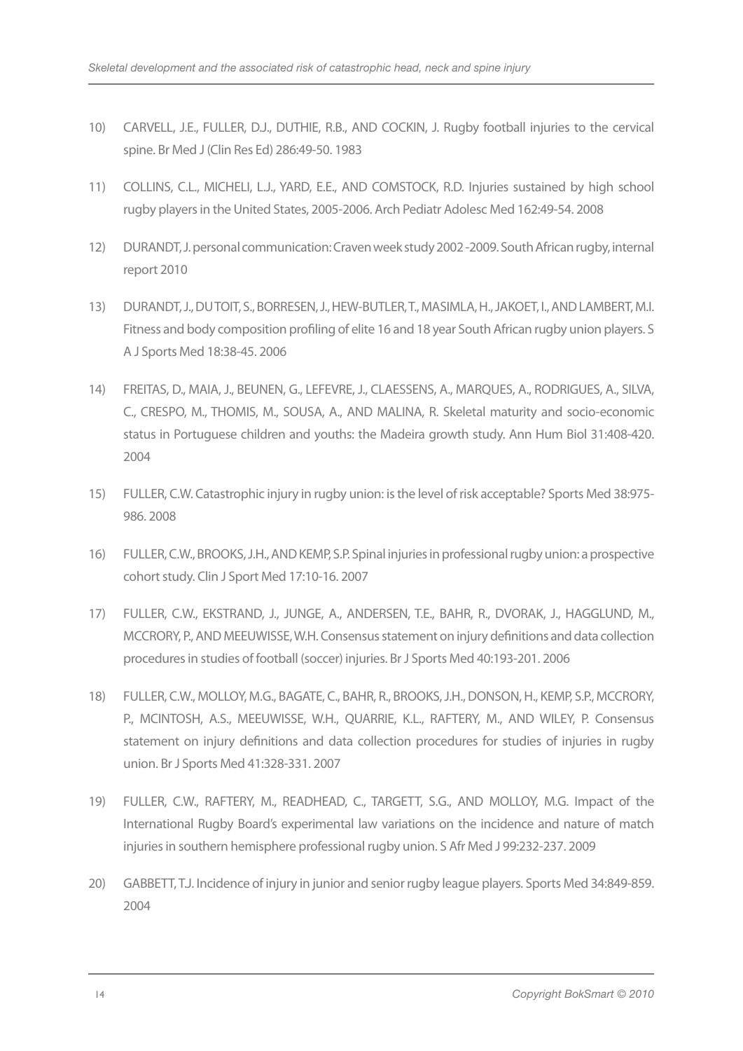- 10) CARVELL, J.E., FULLER, D.J., DUTHIE, R.B., AND COCKIN, J. Rugby football injuries to the cervical spine. Br Med J (Clin Res Ed) 286:49-50. 1983
- 11) COLLINS, C.L., MICHELI, L.J., YARD, E.E., AND COMSTOCK, R.D. Injuries sustained by high school rugby players in the United States, 2005-2006. Arch Pediatr Adolesc Med 162:49-54. 2008
- 12) DURANDT, J. personal communication: Craven week study 2002 -2009. South African rugby, internal report 2010
- 13) DURANDT, J., DU TOIT, S., BORRESEN, J., HEW-BUTLER, T., MASIMLA, H., JAKOET, I., AND LAMBERT, M.I. Fitness and body composition profiling of elite 16 and 18 year South African rugby union players. S A J Sports Med 18:38-45. 2006
- 14) FREITAS, D., MAIA, J., BEUNEN, G., LEFEVRE, J., CLAESSENS, A., MARQUES, A., RODRIGUES, A., SILVA, C., CRESPO, M., THOMIS, M., SOUSA, A., AND MALINA, R. Skeletal maturity and socio-economic status in Portuguese children and youths: the Madeira growth study. Ann Hum Biol 31:408-420. 2004
- 15) FULLER, C.W. Catastrophic injury in rugby union: is the level of risk acceptable? Sports Med 38:975- 986. 2008
- 16) FULLER, C.W., BROOKS, J.H., AND KEMP, S.P. Spinal injuries in professional rugby union: a prospective cohort study. Clin J Sport Med 17:10-16. 2007
- 17) FULLER, C.W., EKSTRAND, J., JUNGE, A., ANDERSEN, T.E., BAHR, R., DVORAK, J., HAGGLUND, M., MCCRORY, P., AND MEEUWISSE, W.H. Consensus statement on injury definitions and data collection procedures in studies of football (soccer) injuries. Br J Sports Med 40:193-201. 2006
- 18) FULLER, C.W., MOLLOY, M.G., BAGATE, C., BAHR, R., BROOKS, J.H., DONSON, H., KEMP, S.P., MCCRORY, P., MCINTOSH, A.S., MEEUWISSE, W.H., QUARRIE, K.L., RAFTERY, M., AND WILEY, P. Consensus statement on injury definitions and data collection procedures for studies of injuries in rugby union. Br J Sports Med 41:328-331. 2007
- 19) FULLER, C.W., RAFTERY, M., READHEAD, C., TARGETT, S.G., AND MOLLOY, M.G. Impact of the International Rugby Board's experimental law variations on the incidence and nature of match injuries in southern hemisphere professional rugby union. S Afr Med J 99:232-237. 2009
- 20) GABBETT, T.J. Incidence of injury in junior and senior rugby league players. Sports Med 34:849-859. 2004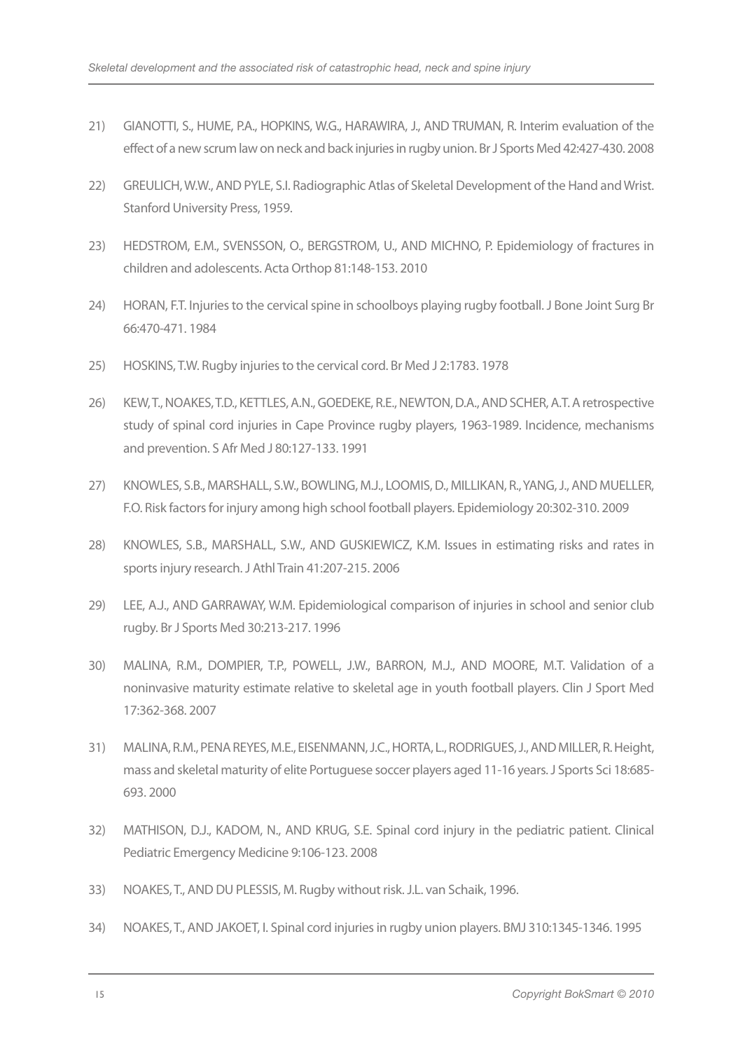- 21) GIANOTTI, S., HUME, P.A., HOPKINS, W.G., HARAWIRA, J., AND TRUMAN, R. Interim evaluation of the effect of a new scrum law on neck and back injuries in rugby union. Br J Sports Med 42:427-430. 2008
- 22) GREULICH, W.W., AND PYLE, S.I. Radiographic Atlas of Skeletal Development of the Hand and Wrist. Stanford University Press, 1959.
- 23) HEDSTROM, E.M., SVENSSON, O., BERGSTROM, U., AND MICHNO, P. Epidemiology of fractures in children and adolescents. Acta Orthop 81:148-153. 2010
- 24) HORAN, F.T. Injuries to the cervical spine in schoolboys playing rugby football. J Bone Joint Surg Br 66:470-471. 1984
- 25) HOSKINS, T.W. Rugby injuries to the cervical cord. Br Med J 2:1783. 1978
- 26) KEW, T., NOAKES, T.D., KETTLES, A.N., GOEDEKE, R.E., NEWTON, D.A., AND SCHER, A.T. A retrospective study of spinal cord injuries in Cape Province rugby players, 1963-1989. Incidence, mechanisms and prevention. S Afr Med J 80:127-133. 1991
- 27) KNOWLES, S.B., MARSHALL, S.W., BOWLING, M.J., LOOMIS, D., MILLIKAN, R., YANG, J., AND MUELLER, F.O. Risk factors for injury among high school football players. Epidemiology 20:302-310. 2009
- 28) KNOWLES, S.B., MARSHALL, S.W., AND GUSKIEWICZ, K.M. Issues in estimating risks and rates in sports injury research. J Athl Train 41:207-215. 2006
- 29) LEE, A.J., AND GARRAWAY, W.M. Epidemiological comparison of injuries in school and senior club rugby. Br J Sports Med 30:213-217. 1996
- 30) MALINA, R.M., DOMPIER, T.P., POWELL, J.W., BARRON, M.J., AND MOORE, M.T. Validation of a noninvasive maturity estimate relative to skeletal age in youth football players. Clin J Sport Med 17:362-368. 2007
- 31) MALINA, R.M., PENA REYES, M.E., EISENMANN, J.C., HORTA, L., RODRIGUES, J., AND MILLER, R. Height, mass and skeletal maturity of elite Portuguese soccer players aged 11-16 years. J Sports Sci 18:685- 693. 2000
- 32) MATHISON, D.J., KADOM, N., AND KRUG, S.E. Spinal cord injury in the pediatric patient. Clinical Pediatric Emergency Medicine 9:106-123. 2008
- 33) NOAKES, T., AND DU PLESSIS, M. Rugby without risk. J.L. van Schaik, 1996.
- 34) NOAKES, T., AND JAKOET, I. Spinal cord injuries in rugby union players. BMJ 310:1345-1346. 1995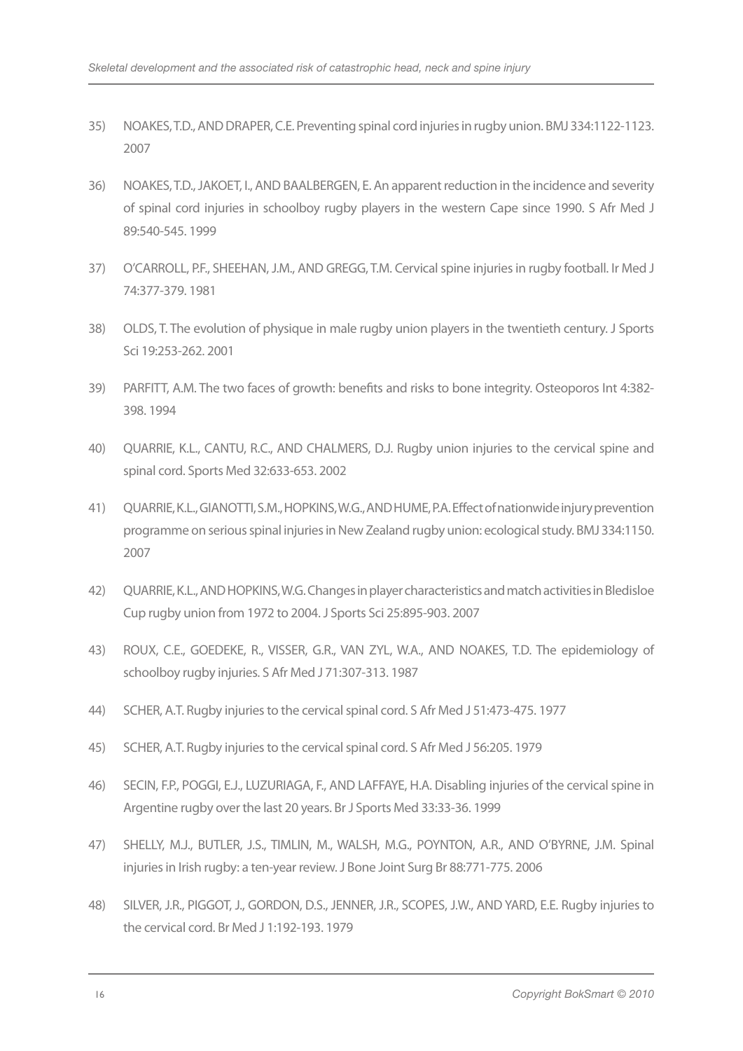- 35) NOAKES, T.D., AND DRAPER, C.E. Preventing spinal cord injuries in rugby union. BMJ 334:1122-1123. 2007
- 36) NOAKES, T.D., JAKOET, I., AND BAALBERGEN, E. An apparent reduction in the incidence and severity of spinal cord injuries in schoolboy rugby players in the western Cape since 1990. S Afr Med J 89:540-545. 1999
- 37) O'CARROLL, P.F., SHEEHAN, J.M., AND GREGG, T.M. Cervical spine injuries in rugby football. Ir Med J 74:377-379. 1981
- 38) OLDS, T. The evolution of physique in male rugby union players in the twentieth century. J Sports Sci 19:253-262. 2001
- 39) PARFITT, A.M. The two faces of growth: benefits and risks to bone integrity. Osteoporos Int 4:382- 398. 1994
- 40) QUARRIE, K.L., CANTU, R.C., AND CHALMERS, D.J. Rugby union injuries to the cervical spine and spinal cord. Sports Med 32:633-653. 2002
- 41) QUARRIE, K.L., GIANOTTI, S.M., HOPKINS, W.G., AND HUME, P.A. Effect of nationwide injury prevention programme on serious spinal injuries in New Zealand rugby union: ecological study. BMJ 334:1150. 2007
- 42) QUARRIE, K.L., AND HOPKINS, W.G. Changes in player characteristics and match activities in Bledisloe Cup rugby union from 1972 to 2004. J Sports Sci 25:895-903. 2007
- 43) ROUX, C.E., GOEDEKE, R., VISSER, G.R., VAN ZYL, W.A., AND NOAKES, T.D. The epidemiology of schoolboy rugby injuries. S Afr Med J 71:307-313. 1987
- 44) SCHER, A.T. Rugby injuries to the cervical spinal cord. S Afr Med J 51:473-475. 1977
- 45) SCHER, A.T. Rugby injuries to the cervical spinal cord. S Afr Med J 56:205. 1979
- 46) SECIN, F.P., POGGI, E.J., LUZURIAGA, F., AND LAFFAYE, H.A. Disabling injuries of the cervical spine in Argentine rugby over the last 20 years. Br J Sports Med 33:33-36. 1999
- 47) SHELLY, M.J., BUTLER, J.S., TIMLIN, M., WALSH, M.G., POYNTON, A.R., AND O'BYRNE, J.M. Spinal injuries in Irish rugby: a ten-year review. J Bone Joint Surg Br 88:771-775. 2006
- 48) SILVER, J.R., PIGGOT, J., GORDON, D.S., JENNER, J.R., SCOPES, J.W., AND YARD, E.E. Rugby injuries to the cervical cord. Br Med J 1:192-193. 1979